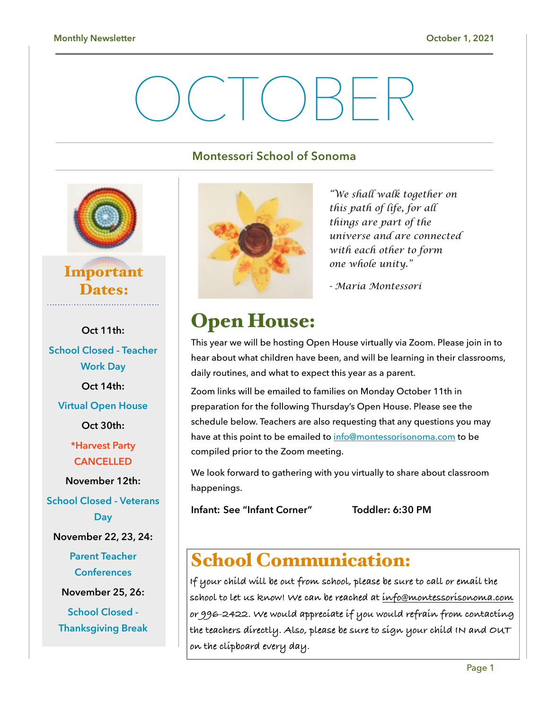# $\Box \vdash$

## **Montessori School of Sonoma**



## Important Dates:

**Oct 11th: School Closed - Teacher Work Day Oct 14th: Virtual Open House Oct 30th: \*Harvest Party CANCELLED November 12th: School Closed - Veterans Day November 22, 23, 24: Parent Teacher Conferences November 25, 26: School Closed - Thanksgiving Break** 



*"We shall walk together on this path of life, for all things are part of the universe and are connected with each other to form one whole unity."* 

*- Maria Montessori*

# Open House:

This year we will be hosting Open House virtually via Zoom. Please join in to hear about what children have been, and will be learning in their classrooms, daily routines, and what to expect this year as a parent.

Zoom links will be emailed to families on Monday October 11th in preparation for the following Thursday's Open House. Please see the schedule below. Teachers are also requesting that any questions you may have at this point to be emailed to [info@montessorisonoma.com](mailto:info@montessorisonoma.com) to be compiled prior to the Zoom meeting.

We look forward to gathering with you virtually to share about classroom happenings.

**Infant: See "Infant Corner" Toddler: 6:30 PM** 

# School Communication:

**If your child will be out from school, please be sure to call or email the school to let us know! We can be reached at [info@montessorisonoma.com](mailto:info@montessorisonoma.com) or 996-2422. We would appreciate if you would refrain from contacting the teachers directly. Also, please be sure to sign your child IN and OUT on the clipboard every day.**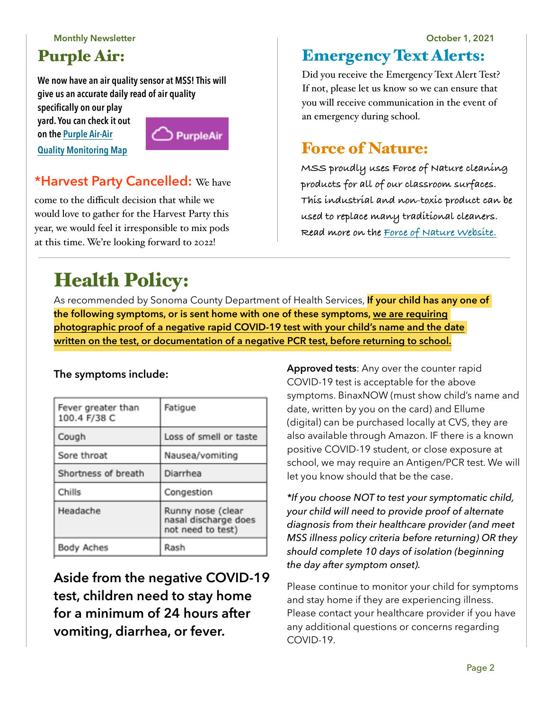**Monthly Newsletter October 1, 2021**

## Purple Air:

**We now have an air quality sensor at MSS! This will give us an accurate daily read of air quality** 

**specifically on our play yard. You can check it out on the Purple Air-Air** 



## **\*Harvest Party Cancelled:** We have

come to the difficult decision that while we would love to gather for the Harvest Party this year, we would feel it irresponsible to mix pods at this time. We're looking forward to 2022!

# Health Policy:

As recommended by Sonoma County Department of Health Services, **If your child has any one of the following symptoms, or is sent home with one of these symptoms, we are requiring photographic proof of a negative rapid COVID-19 test with your child's name and the date written on the test, or documentation of a negative PCR test, before returning to school.** 

## **The symptoms include:**

| Fever greater than<br>100.4 F/38 C | Fatigue                                                        |
|------------------------------------|----------------------------------------------------------------|
| Cough                              | Loss of smell or taste                                         |
| Sore throat                        | Nausea/vomiting                                                |
| Shortness of breath                | Diarrhea                                                       |
| Chills                             | Congestion                                                     |
| Headache                           | Runny nose (clear<br>nasal discharge does<br>not need to test) |
| Body Aches                         | Rash                                                           |

**Aside from the negative COVID-19 test, children need to stay home for a minimum of 24 hours after vomiting, diarrhea, or fever.**

**Approved tests**: Any over the counter rapid COVID-19 test is acceptable for the above symptoms. BinaxNOW (must show child's name and

date, written by you on the card) and Ellume (digital) can be purchased locally at CVS, they are also available through Amazon. IF there is a known positive COVID-19 student, or close exposure at school, we may require an Antigen/PCR test. We will let you know should that be the case.

*\*If you choose NOT to test your symptomatic child, your child will need to provide proof of alternate diagnosis from their healthcare provider (and meet MSS illness policy criteria before returning) OR they should complete 10 days of isolation (beginning the day after symptom onset).* 

Please continue to monitor your child for symptoms and stay home if they are experiencing illness. Please contact your healthcare provider if you have any additional questions or concerns regarding COVID-19.

# Emergency Text Alerts:

Did you receive the Emergency Text Alert Test? If not, please let us know so we can ensure that you will receive communication in the event of an emergency during school.

## **[Quality Monitoring Map](https://www.purpleair.com/map?opt=1/mAQI/a10/cC0#13.84/38.28539/-122.43622) Example 2 Access 12 Access 12 Access 12 Access 12 Access 12 Access 12 Access 12 Access 12 Access 12 Access 12 Access 12 Access 12 Access 12 Access 12 Access 12 Access 12 Access 12 Access 12 Access**

**MSS proudly uses Force of Nature cleaning products for all of our classroom surfaces. This industrial and non-toxic product can be used to replace many traditional cleaners. Read more on the [Force of Nature Website.](https://www.forceofnatureclean.com/the-science-electrolyzed-water-d-2/)**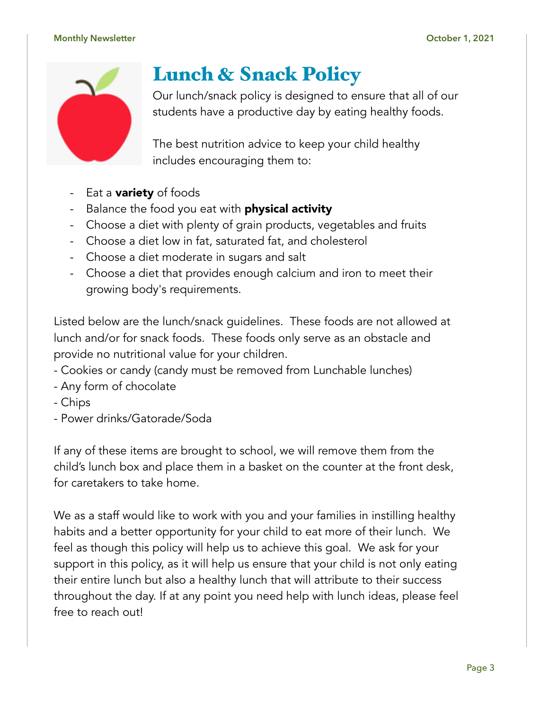#### **Monthly Newsletter October 1, 2021**



# Lunch & Snack Policy

Our lunch/snack policy is designed to ensure that all of our students have a productive day by eating healthy foods.

The best nutrition advice to keep your child healthy includes encouraging them to:

- Eat a **variety** of foods
- Balance the food you eat with **physical activity**
- Choose a diet with plenty of grain products, vegetables and fruits
- Choose a diet low in fat, saturated fat, and cholesterol
- Choose a diet moderate in sugars and salt
- Choose a diet that provides enough calcium and iron to meet their growing body's requirements.

Listed below are the lunch/snack guidelines. These foods are not allowed at lunch and/or for snack foods. These foods only serve as an obstacle and provide no nutritional value for your children.

- Cookies or candy (candy must be removed from Lunchable lunches)
- Any form of chocolate
- Chips
- Power drinks/Gatorade/Soda

If any of these items are brought to school, we will remove them from the child's lunch box and place them in a basket on the counter at the front desk, for caretakers to take home.

We as a staff would like to work with you and your families in instilling healthy habits and a better opportunity for your child to eat more of their lunch. We feel as though this policy will help us to achieve this goal. We ask for your support in this policy, as it will help us ensure that your child is not only eating their entire lunch but also a healthy lunch that will attribute to their success throughout the day. If at any point you need help with lunch ideas, please feel free to reach out!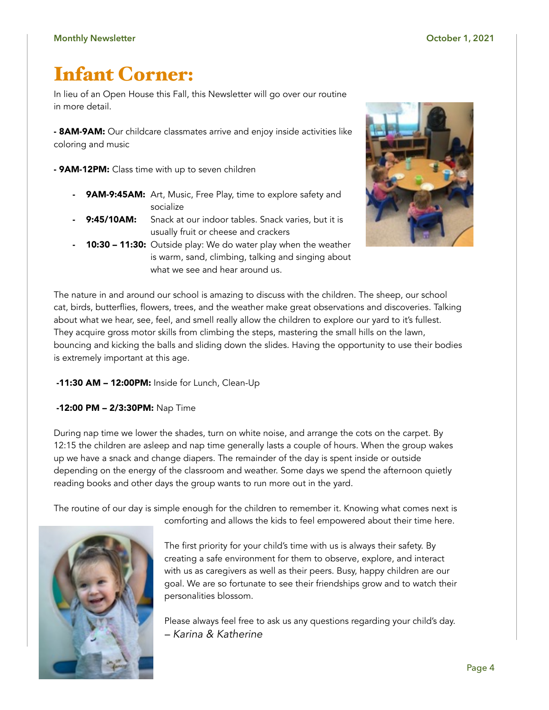# Infant Corner:

In lieu of an Open House this Fall, this Newsletter will go over our routine in more detail.

**- 8AM-9AM:** Our childcare classmates arrive and enjoy inside activities like coloring and music

**- 9AM-12PM:** Class time with up to seven children

- 9AM-9:45AM: Art, Music, Free Play, time to explore safety and socialize
- 9:45/10AM: Snack at our indoor tables. Snack varies, but it is usually fruit or cheese and crackers
- 10:30 11:30: Outside play: We do water play when the weather is warm, sand, climbing, talking and singing about what we see and hear around us.



The nature in and around our school is amazing to discuss with the children. The sheep, our school cat, birds, butterflies, flowers, trees, and the weather make great observations and discoveries. Talking about what we hear, see, feel, and smell really allow the children to explore our yard to it's fullest. They acquire gross motor skills from climbing the steps, mastering the small hills on the lawn, bouncing and kicking the balls and sliding down the slides. Having the opportunity to use their bodies is extremely important at this age.

#### -11:30 AM – 12:00PM: Inside for Lunch, Clean-Up

-12:00 PM – 2/3:30PM: Nap Time

During nap time we lower the shades, turn on white noise, and arrange the cots on the carpet. By 12:15 the children are asleep and nap time generally lasts a couple of hours. When the group wakes up we have a snack and change diapers. The remainder of the day is spent inside or outside depending on the energy of the classroom and weather. Some days we spend the afternoon quietly reading books and other days the group wants to run more out in the yard.

The routine of our day is simple enough for the children to remember it. Knowing what comes next is



The first priority for your child's time with us is always their safety. By creating a safe environment for them to observe, explore, and interact with us as caregivers as well as their peers. Busy, happy children are our goal. We are so fortunate to see their friendships grow and to watch their personalities blossom.

comforting and allows the kids to feel empowered about their time here.

Please always feel free to ask us any questions regarding your child's day. *– Karina & Katherine*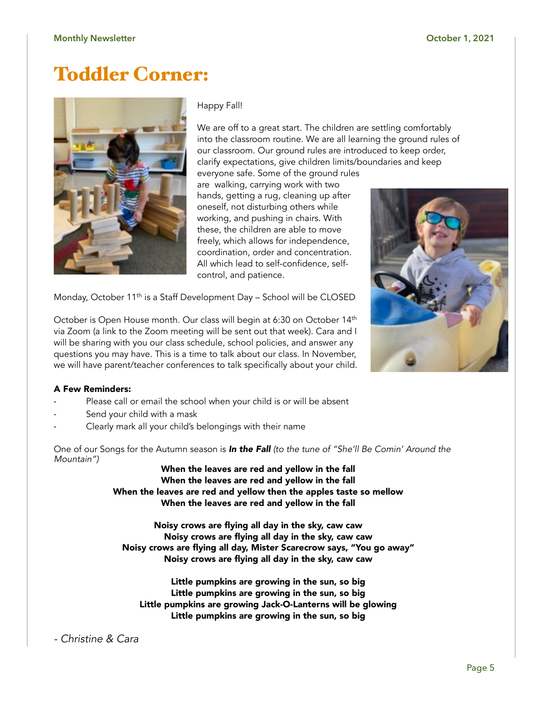## Toddler Corner:



Happy Fall!

We are off to a great start. The children are settling comfortably into the classroom routine. We are all learning the ground rules of our classroom. Our ground rules are introduced to keep order, clarify expectations, give children limits/boundaries and keep everyone safe. Some of the ground rules

are walking, carrying work with two hands, getting a rug, cleaning up after oneself, not disturbing others while working, and pushing in chairs. With these, the children are able to move freely, which allows for independence, coordination, order and concentration. All which lead to self-confidence, selfcontrol, and patience.

Monday, October 11<sup>th</sup> is a Staff Development Day - School will be CLOSED

October is Open House month. Our class will begin at 6:30 on October 14<sup>th</sup> via Zoom (a link to the Zoom meeting will be sent out that week). Cara and I will be sharing with you our class schedule, school policies, and answer any questions you may have. This is a time to talk about our class. In November, we will have parent/teacher conferences to talk specifically about your child.



#### A Few Reminders:

- Please call or email the school when your child is or will be absent
- Send your child with a mask
- Clearly mark all your child's belongings with their name

One of our Songs for the Autumn season is *In the Fall (to the tune of "She'll Be Comin' Around the Mountain")* 

When the leaves are red and yellow in the fall When the leaves are red and yellow in the fall When the leaves are red and yellow then the apples taste so mellow When the leaves are red and yellow in the fall

Noisy crows are flying all day in the sky, caw caw Noisy crows are flying all day in the sky, caw caw Noisy crows are flying all day, Mister Scarecrow says, "You go away" Noisy crows are flying all day in the sky, caw caw

Little pumpkins are growing in the sun, so big Little pumpkins are growing in the sun, so big Little pumpkins are growing Jack-O-Lanterns will be glowing Little pumpkins are growing in the sun, so big

*- Christine & Cara*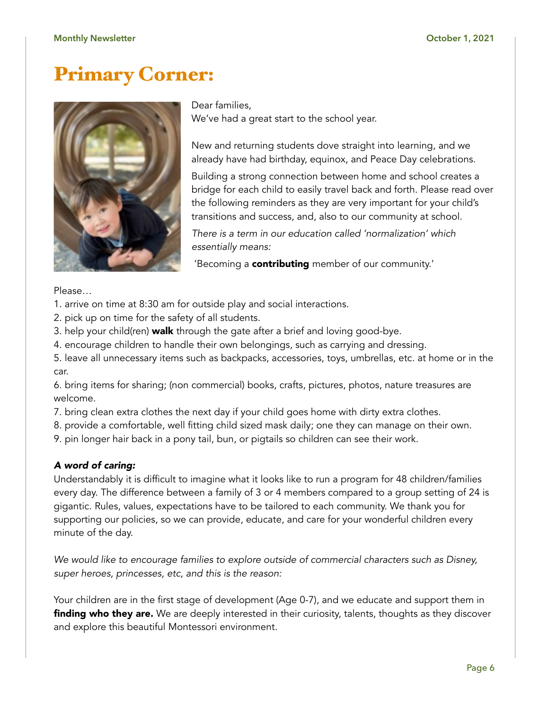## Primary Corner:



Dear families, We've had a great start to the school year.

New and returning students dove straight into learning, and we already have had birthday, equinox, and Peace Day celebrations.

Building a strong connection between home and school creates a bridge for each child to easily travel back and forth. Please read over the following reminders as they are very important for your child's transitions and success, and, also to our community at school.

*There is a term in our education called 'normalization' which essentially means:* 

'Becoming a **contributing** member of our community.'

Please…

- 1. arrive on time at 8:30 am for outside play and social interactions.
- 2. pick up on time for the safety of all students.
- 3. help your child(ren) **walk** through the gate after a brief and loving good-bye.
- 4. encourage children to handle their own belongings, such as carrying and dressing.

5. leave all unnecessary items such as backpacks, accessories, toys, umbrellas, etc. at home or in the car.

6. bring items for sharing; (non commercial) books, crafts, pictures, photos, nature treasures are welcome.

- 7. bring clean extra clothes the next day if your child goes home with dirty extra clothes.
- 8. provide a comfortable, well fitting child sized mask daily; one they can manage on their own.
- 9. pin longer hair back in a pony tail, bun, or pigtails so children can see their work.

### *A word of caring:*

Understandably it is difficult to imagine what it looks like to run a program for 48 children/families every day. The difference between a family of 3 or 4 members compared to a group setting of 24 is gigantic. Rules, values, expectations have to be tailored to each community. We thank you for supporting our policies, so we can provide, educate, and care for your wonderful children every minute of the day.

*We would like to encourage families to explore outside of commercial characters such as Disney, super heroes, princesses, etc, and this is the reason:*

Your children are in the first stage of development (Age 0-7), and we educate and support them in **finding who they are.** We are deeply interested in their curiosity, talents, thoughts as they discover and explore this beautiful Montessori environment.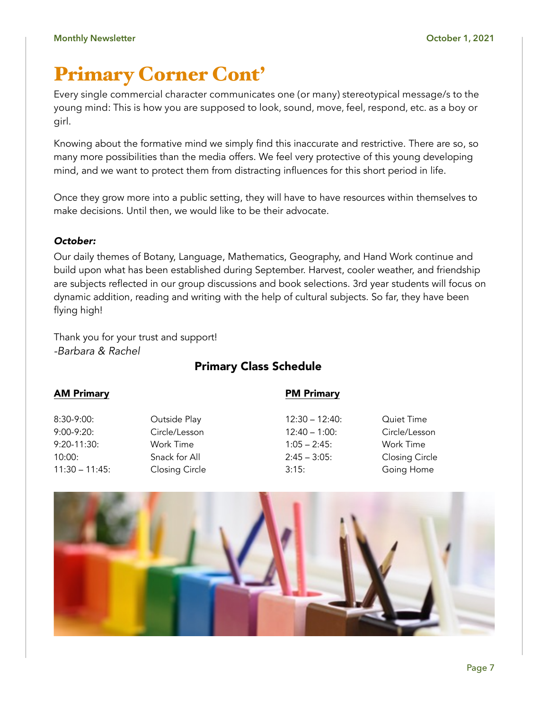# Primary Corner Cont'

Every single commercial character communicates one (or many) stereotypical message/s to the young mind: This is how you are supposed to look, sound, move, feel, respond, etc. as a boy or girl.

Knowing about the formative mind we simply find this inaccurate and restrictive. There are so, so many more possibilities than the media offers. We feel very protective of this young developing mind, and we want to protect them from distracting influences for this short period in life.

Once they grow more into a public setting, they will have to have resources within themselves to make decisions. Until then, we would like to be their advocate.

## *October:*

Our daily themes of Botany, Language, Mathematics, Geography, and Hand Work continue and build upon what has been established during September. Harvest, cooler weather, and friendship are subjects reflected in our group discussions and book selections. 3rd year students will focus on dynamic addition, reading and writing with the help of cultural subjects. So far, they have been flying high!

Thank you for your trust and support! *-Barbara & Rachel*

## Primary Class Schedule

### AM Primary

### PM Primary

8:30-9:00: Outside Play 9:00-9:20: Circle/Lesson 9:20-11:30: Work Time 10:00: Snack for All 11:30 – 11:45: Closing Circle

12:30 – 12:40: Quiet Time 1:05 – 2:45: Work Time

12:40 – 1:00: Circle/Lesson 2:45 – 3:05: Closing Circle 3:15: Going Home

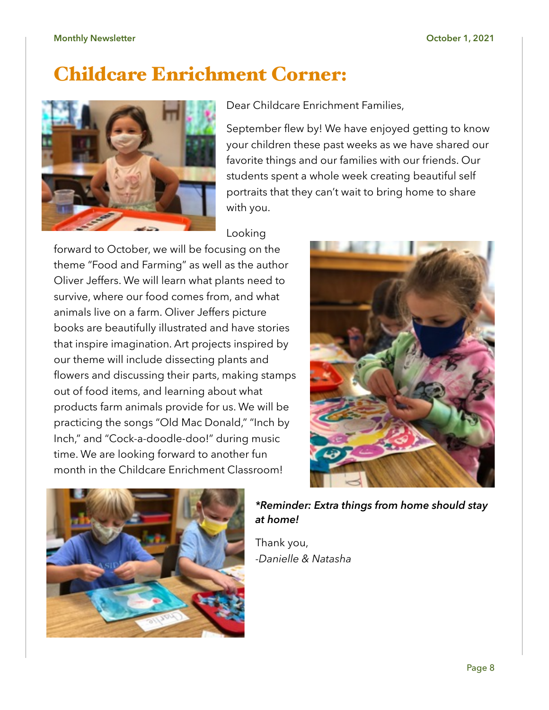#### **Monthly Newsletter October 1, 2021**

## Childcare Enrichment Corner:



Dear Childcare Enrichment Families,

September flew by! We have enjoyed getting to know your children these past weeks as we have shared our favorite things and our families with our friends. Our students spent a whole week creating beautiful self portraits that they can't wait to bring home to share with you.

## Looking

forward to October, we will be focusing on the theme "Food and Farming" as well as the author Oliver Jeffers. We will learn what plants need to survive, where our food comes from, and what animals live on a farm. Oliver Jeffers picture books are beautifully illustrated and have stories that inspire imagination. Art projects inspired by our theme will include dissecting plants and flowers and discussing their parts, making stamps out of food items, and learning about what products farm animals provide for us. We will be practicing the songs "Old Mac Donald," "Inch by Inch," and "Cock-a-doodle-doo!" during music time. We are looking forward to another fun month in the Childcare Enrichment Classroom!





*\*Reminder: Extra things from home should stay at home!* 

Thank you, -*Danielle & Natasha*